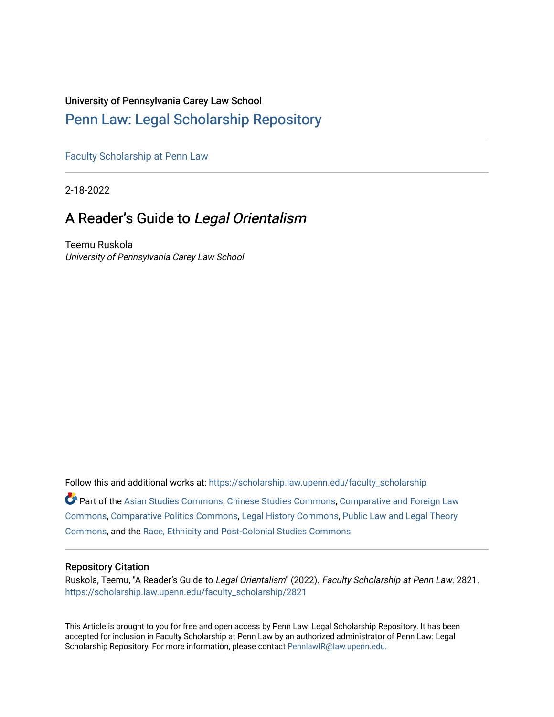# University of Pennsylvania Carey Law School

# [Penn Law: Legal Scholarship Repository](https://scholarship.law.upenn.edu/)

[Faculty Scholarship at Penn Law](https://scholarship.law.upenn.edu/faculty_scholarship)

2-18-2022

# A Reader's Guide to Legal Orientalism

Teemu Ruskola University of Pennsylvania Carey Law School

Follow this and additional works at: [https://scholarship.law.upenn.edu/faculty\\_scholarship](https://scholarship.law.upenn.edu/faculty_scholarship?utm_source=scholarship.law.upenn.edu%2Ffaculty_scholarship%2F2821&utm_medium=PDF&utm_campaign=PDFCoverPages) 

Part of the [Asian Studies Commons,](http://network.bepress.com/hgg/discipline/361?utm_source=scholarship.law.upenn.edu%2Ffaculty_scholarship%2F2821&utm_medium=PDF&utm_campaign=PDFCoverPages) [Chinese Studies Commons](http://network.bepress.com/hgg/discipline/1081?utm_source=scholarship.law.upenn.edu%2Ffaculty_scholarship%2F2821&utm_medium=PDF&utm_campaign=PDFCoverPages), [Comparative and Foreign Law](http://network.bepress.com/hgg/discipline/836?utm_source=scholarship.law.upenn.edu%2Ffaculty_scholarship%2F2821&utm_medium=PDF&utm_campaign=PDFCoverPages)  [Commons](http://network.bepress.com/hgg/discipline/836?utm_source=scholarship.law.upenn.edu%2Ffaculty_scholarship%2F2821&utm_medium=PDF&utm_campaign=PDFCoverPages), [Comparative Politics Commons,](http://network.bepress.com/hgg/discipline/388?utm_source=scholarship.law.upenn.edu%2Ffaculty_scholarship%2F2821&utm_medium=PDF&utm_campaign=PDFCoverPages) [Legal History Commons](http://network.bepress.com/hgg/discipline/904?utm_source=scholarship.law.upenn.edu%2Ffaculty_scholarship%2F2821&utm_medium=PDF&utm_campaign=PDFCoverPages), [Public Law and Legal Theory](http://network.bepress.com/hgg/discipline/871?utm_source=scholarship.law.upenn.edu%2Ffaculty_scholarship%2F2821&utm_medium=PDF&utm_campaign=PDFCoverPages) [Commons](http://network.bepress.com/hgg/discipline/871?utm_source=scholarship.law.upenn.edu%2Ffaculty_scholarship%2F2821&utm_medium=PDF&utm_campaign=PDFCoverPages), and the [Race, Ethnicity and Post-Colonial Studies Commons](http://network.bepress.com/hgg/discipline/566?utm_source=scholarship.law.upenn.edu%2Ffaculty_scholarship%2F2821&utm_medium=PDF&utm_campaign=PDFCoverPages) 

# Repository Citation

Ruskola, Teemu, "A Reader's Guide to Legal Orientalism" (2022). Faculty Scholarship at Penn Law. 2821. [https://scholarship.law.upenn.edu/faculty\\_scholarship/2821](https://scholarship.law.upenn.edu/faculty_scholarship/2821?utm_source=scholarship.law.upenn.edu%2Ffaculty_scholarship%2F2821&utm_medium=PDF&utm_campaign=PDFCoverPages)

This Article is brought to you for free and open access by Penn Law: Legal Scholarship Repository. It has been accepted for inclusion in Faculty Scholarship at Penn Law by an authorized administrator of Penn Law: Legal Scholarship Repository. For more information, please contact [PennlawIR@law.upenn.edu.](mailto:PennlawIR@law.upenn.edu)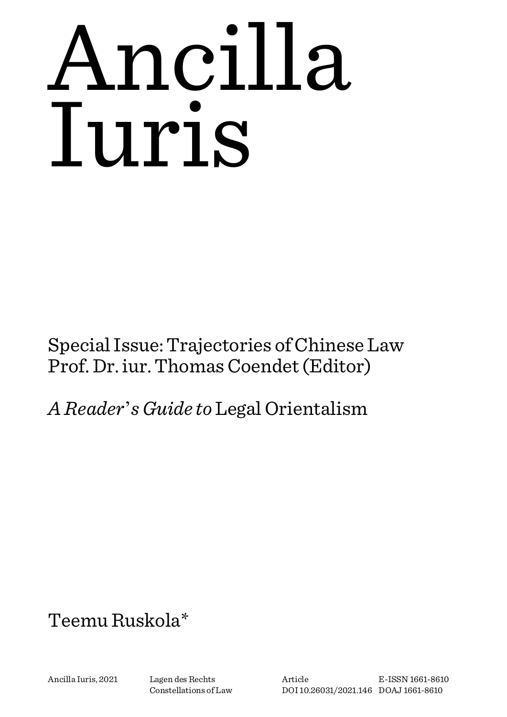# Ancilla Iuris

Special Issue: Trajectories of Chinese Law Prof. Dr. iur. Thomas Coendet (Editor)

*A Reader*'*s Guide to* Legal Orientalism

# Teemu Ruskola\*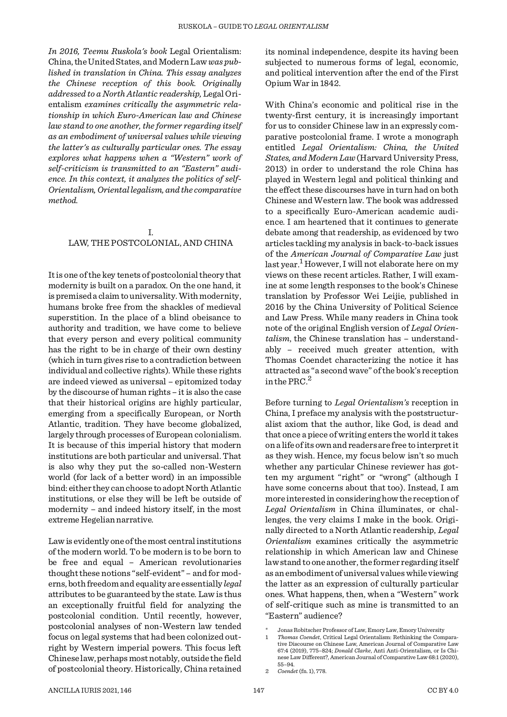*In 2016, Teemu Ruskola's book* Legal Orientalism: China, the United States, and Modern Law *was published in translation in China. This essay analyzes the Chinese reception of this book. Originally addressed to a North Atlantic readership,* Legal Orientalism *examines critically the asymmetric relationship in which Euro-American law and Chinese law stand to one another, the former regarding itself as an embodiment of universal values while viewing the latter's as culturally particular ones. The essay explores what happens when a "Western" work of self-criticism is transmitted to an "Eastern" audience. In this context, it analyzes the politics of self-Orientalism, Oriental legalism, and the comparative method.*

# I. LAW, THE POSTCOLONIAL, AND CHINA

It is one of the key tenets of postcolonial theory that modernity is built on a paradox. On the one hand, it is premised a claim to universality. With modernity, humans broke free from the shackles of medieval superstition. In the place of a blind obeisance to authority and tradition, we have come to believe that every person and every political community has the right to be in charge of their own destiny (which in turn gives rise to a contradiction between individual and collective rights). While these rights are indeed viewed as universal – epitomized today by the discourse of human rights – it is also the case that their historical origins are highly particular, emerging from a specifically European, or North Atlantic, tradition. They have become globalized, largely through processes of European colonialism. It is because of this imperial history that modern institutions are both particular and universal. That is also why they put the so-called non-Western world (for lack of a better word) in an impossible bind: either they can choose to adopt North Atlantic institutions, or else they will be left be outside of modernity – and indeed history itself, in the most extreme Hegelian narrative.

Law is evidently one of the most central institutions of the modern world. To be modern is to be born to be free and equal – American revolutionaries thought these notions "self-evident" – and for moderns, both freedom and equality are essentially *legal* attributes to be guaranteed by the state. Law is thus an exceptionally fruitful field for analyzing the postcolonial condition. Until recently, however, postcolonial analyses of non-Western law tended focus on legal systems that had been colonized outright by Western imperial powers. This focus left Chinese law, perhaps most notably, outside the field of postcolonial theory. Historically, China retained its nominal independence, despite its having been subjected to numerous forms of legal, economic, and political intervention after the end of the First Opium War in 1842. With China's economic and political rise in the

twenty-first century, it is increasingly important for us to consider Chinese law in an expressly comparative postcolonial frame. I wrote a monograph entitled *Legal Orientalism: China, the United States, and Modern Law* (Harvard University Press, 2013) in order to understand the role China has played in Western legal and political thinking and the effect these discourses have in turn had on both Chinese and Western law. The book was addressed to a specifically Euro-American academic audience. I am heartened that it continues to generate debate among that readership, as evidenced by two articles tackling my analysis in back-to-back issues of the *American Journal of Comparative Law* just<br>last year.<sup>1</sup> However, I will not elaborate here on my views on these recent articles. Rather, I will examine at some length responses to the book's Chinese translation by Professor Wei Leijie, published in 2016 by the China University of Political Science and Law Press. While many readers in China took note of the original English version of *Legal Orientalism*, the Chinese translation has – understandably – received much greater attention, with Thomas Coendet characterizing the notice it has attracted as "a second wave" of the book's reception in the PRC.<sup>2</sup>

Before turning to *Legal Orientalism's* reception in China, I preface my analysis with the poststructuralist axiom that the author, like God, is dead and that once a piece of writing enters the world it takes on a life of its own and readers are free to interpret it as they wish. Hence, my focus below isn't so much whether any particular Chinese reviewer has gotten my argument "right" or "wrong" (although I have some concerns about that too). Instead, I am more interested in considering how the reception of *Legal Orientalism* in China illuminates, or challenges, the very claims I make in the book. Originally directed to a North Atlantic readership, *Legal Orientalism* examines critically the asymmetric relationship in which American law and Chinese law stand to one another, the former regarding itself as an embodiment of universal values while viewing the latter as an expression of culturally particular ones. What happens, then, when a "Western" work of self-critique such as mine is transmitted to an "Eastern" audience?

Jonas Robitscher Professor of Law, Emory Law, Emory University

<sup>1</sup> *Thomas Coendet*, Critical Legal Orientalism: Rethinking the Comparative Discourse on Chinese Law, American Journal of Comparative Law 67:4 (2019), 775–824; *Donald Clarke*, Anti Anti-Orientalism, or Is Chinese Law Different?, American Journal of Comparative Law 68:1 (2020), 55–94.

<sup>2</sup> *Coendet* (fn. 1), 778.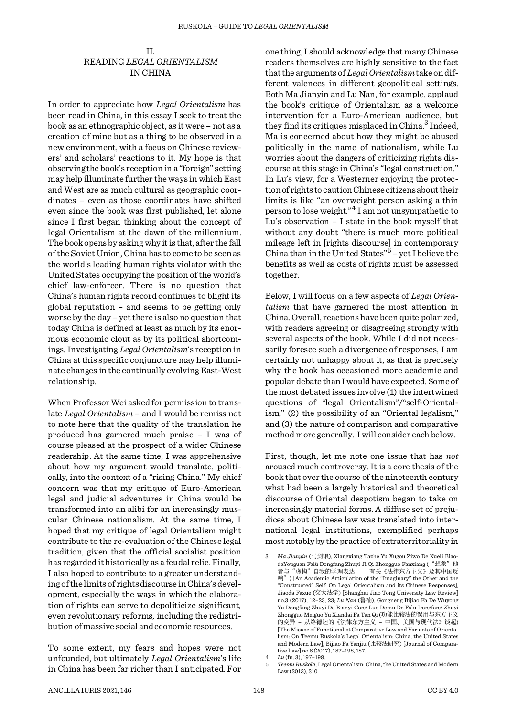# II. READING *LEGAL ORIENTALISM* IN CHINA

In order to appreciate how *Legal Orientalism* has been read in China, in this essay I seek to treat the book as an ethnographic object, as it were – not as a creation of mine but as a thing to be observed in a new environment, with a focus on Chinese reviewers' and scholars' reactions to it. My hope is that observing the book's reception in a "foreign" setting may help illuminate further the ways in which East and West are as much cultural as geographic coordinates – even as those coordinates have shifted even since the book was first published, let alone since I first began thinking about the concept of legal Orientalism at the dawn of the millennium. The book opens by asking why it is that, after the fall of the Soviet Union, China has to come to be seen as the world's leading human rights violator with the United States occupying the position of the world's chief law-enforcer. There is no question that China's human rights record continues to blight its global reputation – and seems to be getting only worse by the day – yet there is also no question that today China is defined at least as much by its enormous economic clout as by its political shortcomings. Investigating *Legal Orientalism*'s reception in China at this specific conjuncture may help illuminate changes in the continually evolving East-West relationship.

When Professor Wei asked for permission to translate *Legal Orientalism* – and I would be remiss not to note here that the quality of the translation he produced has garnered much praise – I was of course pleased at the prospect of a wider Chinese readership. At the same time, I was apprehensive about how my argument would translate, politically, into the context of a "rising China." My chief concern was that my critique of Euro-American legal and judicial adventures in China would be transformed into an alibi for an increasingly muscular Chinese nationalism. At the same time, I hoped that my critique of legal Orientalism might contribute to the re-evaluation of the Chinese legal tradition, given that the official socialist position has regarded it historically as a feudal relic. Finally, I also hoped to contribute to a greater understanding of the limits of rights discourse in China's development, especially the ways in which the elaboration of rights can serve to depoliticize significant, even revolutionary reforms, including the redistribution of massive social and economic resources.

To some extent, my fears and hopes were not unfounded, but ultimately *Legal Orientalism*'s life in China has been far richer than I anticipated. For

one thing, I should acknowledge that many Chinese readers themselves are highly sensitive to the fact that the arguments of *Legal Orientalism* take on different valences in different geopolitical settings. Both Ma Jianyin and Lu Nan, for example, applaud the book's critique of Orientalism as a welcome intervention for a Euro-American audience, but they find its critiques misplaced in China.<sup>3</sup> Indeed, Ma is concerned about how they might be abused politically in the name of nationalism, while Lu worries about the dangers of criticizing rights discourse at this stage in China's "legal construction." In Lu's view, for a Westerner enjoying the protection of rights to caution Chinese citizens about their limits is like "an overweight person asking a thin person to lose weight."4 I am not unsympathetic to Lu's observation – I state in the book myself that without any doubt "there is much more political mileage left in [rights discourse] in contemporary China than in the United States" $5 -$  yet I believe the benefits as well as costs of rights must be assessed together.

Below, I will focus on a few aspects of *Legal Orientalism* that have garnered the most attention in China. Overall, reactions have been quite polarized, with readers agreeing or disagreeing strongly with several aspects of the book. While I did not necessarily foresee such a divergence of responses, I am certainly not unhappy about it, as that is precisely why the book has occasioned more academic and popular debate than I would have expected. Some of the most debated issues involve (1) the intertwined questions of "legal Orientalism"/"self-Orientalism," (2) the possibility of an "Oriental legalism," and (3) the nature of comparison and comparative method more generally. I will consider each below.

First, though, let me note one issue that has *not* aroused much controversy. It is a core thesis of the book that over the course of the nineteenth century what had been a largely historical and theoretical discourse of Oriental despotism began to take on increasingly material forms. A diffuse set of prejudices about Chinese law was translated into international legal institutions, exemplified perhaps most notably by the practice of extraterritoriality in

<sup>3</sup> *Ma Jianyin* (马剑银), Xiangxiang Tazhe Yu Xugou Ziwo De Xueli BiaodaYouguan Falü Dongfang Zhuyi Ji Qi Zhongguo Fanxiang ("想象"他 者与"虚构"自我的学理表达 - 有关《法律东方主义》及其中国反<br>响")[An Academic Articulation of the "Imaginary" the Other and the "Constructed" Self: On Legal Orientalism and its Chinese Responses], Jiaoda Faxue (交大法学) [Shanghai Jiao Tong University Law Review] no.3 (2017), 12-23, 23; *Lu Nan* (鲁楠), Gongneng Bijiao Fa De Wuyong Yu Dongfang Zhuyi De Bianyi Cong Luo Demu De Falü Dongfang Zhuyi Zhongguo Meiguo Yu Xiandai Fa Tan Qi (功能比较法的误用与东方主义 的变异 – 从络德睦的《法律东方主义 – 中国、美国与现代法》谈起) [The Misuse of Functionalist Comparative Law and Variants of Orientalism: On Teemu Ruskola's Legal Orientalism: China, the United States and Modern Law], Bijiao Fa Yanjiu (比较法研究) [Journal of Comparative Law] no.6 (2017), 187–198, 187.

<sup>4</sup> *Lu* (fn. 3), 197–198.

<sup>5</sup> *Teemu Ruskola*, Legal Orientalism: China, the United States and Modern Law (2013), 210.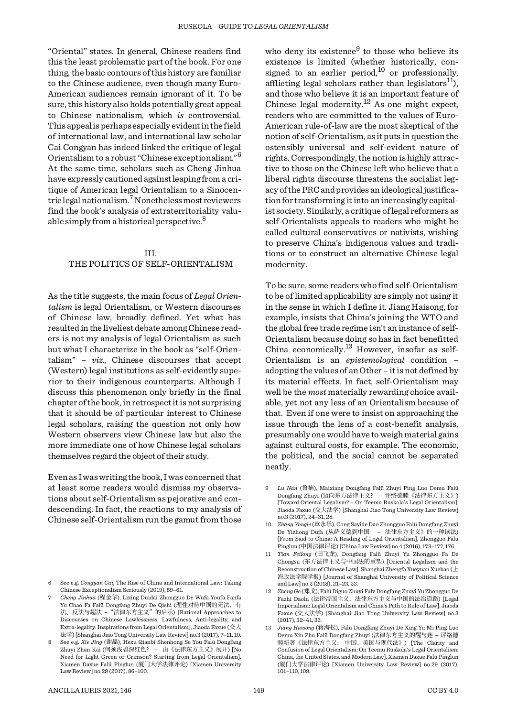"Oriental" states. In general, Chinese readers find this the least problematic part of the book. For one thing, the basic contours of this history are familiar to the Chinese audience, even though many Euro- American audiences remain ignorant of it. To be sure, this history also holds potentially great appeal to Chinese nationalism, which *is* controversial. This appeal is perhaps especially evident in the field of international law, and international law scholar Cai Congyan has indeed linked the critique of legal Orientalism to a robust "Chinese exceptionalism."<sup>6</sup> At the same time, scholars such as Cheng Jinhua have expressly cautioned against leaping from a critique of American legal Orientalism to a Sinocentric legal nationalism.7 Nonetheless most reviewers find the book's analysis of extraterritoriality valuable simply from a historical perspective.<sup>8</sup>

## III. THE POLITICS OF SELF-ORIENTALISM

As the title suggests, the main focus of *Legal Orientalism* is legal Orientalism, or Western discourses of Chinese law, broadly defined. Yet what has resulted in the liveliest debate among Chinese readers is not my analysis of legal Orientalism as such but what I characterize in the book as "self-Orientalism" – *viz.*, Chinese discourses that accept (Western) legal institutions as self-evidently superior to their indigenous counterparts. Although I discuss this phenomenon only briefly in the final chapter of the book, in retrospect it is not surprising that it should be of particular interest to Chinese legal scholars, raising the question not only how Western observers view Chinese law but also the more immediate one of how Chinese legal scholars themselves regard the object of their study.

Even as I was writing the book, I was concerned that at least some readers would dismiss my observations about self-Orientalism as pejorative and condescending. In fact, the reactions to my analysis of Chinese self-Orientalism run the gamut from those

who deny its existence $9$  to those who believe its existence is limited (whether historically, consigned to an earlier period,<sup>10</sup> or professionally, afflicting legal scholars rather than legislators<sup>11</sup>). and those who believe it is an important feature of Chinese legal modernity.<sup>12</sup> As one might expect, readers who are committed to the values of Euro- American rule-of-law are the most skeptical of the notion of self-Orientalism, as it puts in question the ostensibly universal and self-evident nature of rights. Correspondingly, the notion is highly attractive to those on the Chinese left who believe that a liberal rights discourse threatens the socialist legacy of the PRC and provides an ideological justification for transforming it into an increasingly capitalist society. Similarly, a critique of legal reformers as self-Orientalists appeals to readers who might be called cultural conservatives or nativists, wishing to preserve China's indigenous values and traditions or to construct an alternative Chinese legal modernity. To be sure, some readers who find self-Orientalism

to be of limited applicability are simply not using it in the sense in which I define it. Jiang Haisong, for example, insists that China's joining the WTO and the global free trade regime isn't an instance of self- Orientalism because doing so has in fact benefitted China economically.13 However, insofar as self- Orientalism is an *epistemological* condition – adopting the values of an Other – it is not defined by its material effects. In fact, self-Orientalism may well be the *most* materially rewarding choice available, yet not any less of an Orientalism because of that. Even if one were to insist on approaching the issue through the lens of a cost-benefit analysis, presumably one would have to weigh material gains against cultural costs, for example. The economic, the political, and the social cannot be separated neatly.

<sup>6</sup> See e.g. *Congyan Cai*, The Rise of China and International Law: Taking Chinese Exceptionalism Seriously (2019), 59–61.

<sup>7</sup> *Cheng Jinhua* (程金华), Lixing Duidai Zhongguo De Wufa Youfa Fanfa Yu Chao Fa Falü Dongfang Zhuyi De Qishi (理性对待中国的无法、有<br>法、反法与超法 - "法律东方主义"的启示) [Rational Approaches to Discourses on Chinese Lawlessness, Lawfulness, Anti-legality, and Extra-legality: Inspirations from Legal Orientalism], Jiaoda Faxue (交大 法学) [Shanghai Jiao Tong University Law Review] no.3 (2017), 7–11, 10.

See e.g. *Xie Jing* (谢晶), Hexu Qianbi Shenhong Se You Falü Dongfang<br>Zhuyi Zhan Kai (何须浅碧深红色?——由《法律东方主义》展开) [No Zhuyi Zhan Kai (何须浅碧深红色? – 由《法律东方主义》展开) [No Need for Light Green or Crimson? Starting from Legal Orientalism], Xiamen Daxue Falü Pinglun (厦门大学法律评论) [Xiamen University Law Review] no.29 (2017), 86–100.

<sup>9</sup> *Lu Nan* (鲁楠), Maixiang Dongfang Falü Zhuyi Ping Luo Demu Falü Dongfang Zhuyi (迈向东方法律主义? – 评络德睦《法律东方主义》) [Toward Oriental Legalism? – On Teemu Ruskola's Legal Orientalism], Jiaoda Faxue (交大法学) [Shanghai Jiao Tong University Law Review] no.3 (2017), 24–31, 28.

<sup>10</sup> *Zhang Yongle* (章永乐), Cong Sayide Dao Zhongguo Falü Dongfang Zhuyi De Yizhong Dufa (从萨义德到中国 – 法律东方主义》的一种读法) [From Said to China: A Reading of Legal Orientalism], Zhongguo Falü Pinglun (中国法律评论) [China Law Review] no.4 (2016), 173–177, 176.

<sup>11</sup> *Tian Feilong* (田飞龙), Dongfang Falü Zhuyi Yu Zhongguo Fa De Chongsu (东方法律主义与中国法的重塑) [Oriental Legalism and the Reconstruction of Chinese Law], Shanghai Zhengfa Xueyuan Xuebao (上 海政法学院学报) [Journal of Shanghai University of Political Science and Law] no.2 (2018), 21–23, 23.

<sup>12</sup> *Zheng Ge* (郑戈), Falü Diguo Zhuyi Falv Dongfang Zhuyi Yu Zhongguo De Fazhi Daolu (法律帝国主义、法律东方主义与中国的法治道路) [Legal Imperialism: Legal Orientalism and China's Path to Rule of Law], Jiaoda Faxue (交大法学) [Shanghai Jiao Tong University Law Review] no.3 (2017), 32–41, 36.

<sup>13</sup> *Jiang Haisong* (蒋海松), Falü Dongfang Zhuyi De Xing Yu Mi Ping Luo Demu Xin Zhu Falü Dongfang Zhuyi (法律东方主义的醒与迷 – 评络德 睦新著《法律东方主义: 中国、美国与现代法》) [The Clarity and Confusion of Legal Orientalism: On Teemu Ruskola's Legal Orientalism: China, the United States, and Modern Law], Xiamen Daxue Falü Pinglun (厦门大学法律评论) [Xiamen University Law Review] no.29 (2017), 101–110, 109.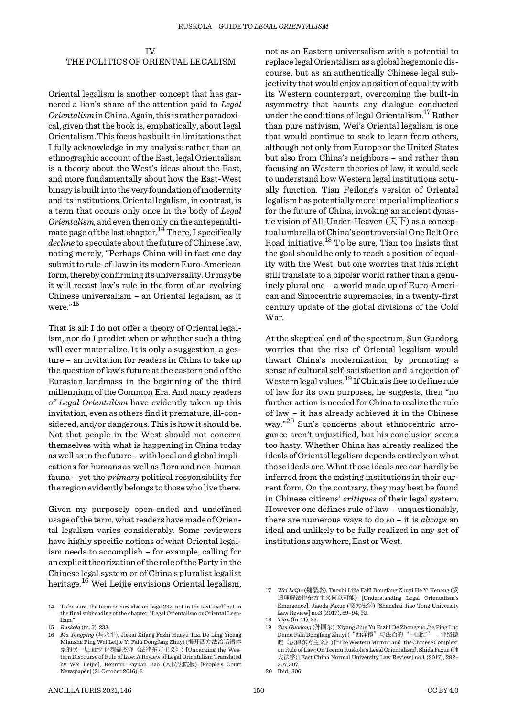IV.

### THE POLITICS OF ORIENTAL LEGALISM

Oriental legalism is another concept that has garnered a lion's share of the attention paid to *Legal Orientalism* in China. Again, this is rather paradoxical, given that the book is, emphatically, about legal Orientalism. This focus has built-in limitations that I fully acknowledge in my analysis: rather than an ethnographic account of the East, legal Orientalism is a theory about the West's ideas about the East, and more fundamentally about how the East-West binary is built into the very foundation of modernity and its institutions. Oriental legalism, in contrast, is a term that occurs only once in the body of *Legal Orientalism*, and even then only on the antepenultimate page of the last chapter.<sup>14</sup> There, I specifically *decline* to speculate about the future of Chinese law, noting merely, "Perhaps China will in fact one day submit to rule-of-law in its modern Euro-American form, thereby confirming its universality. Or maybe it will recast law's rule in the form of an evolving Chinese universalism – an Oriental legalism, as it were."<sup>15</sup>

That is all: I do not offer a theory of Oriental legalism, nor do I predict when or whether such a thing will ever materialize. It is only a suggestion, a gesture – an invitation for readers in China to take up the question of law's future at the eastern end of the Eurasian landmass in the beginning of the third millennium of the Common Era. And many readers of *Legal Orientalism* have evidently taken up this invitation, even as others find it premature, ill-considered, and/or dangerous. This is how it should be. Not that people in the West should not concern themselves with what is happening in China today as well as in the future – with local and global implications for humans as well as flora and non-human fauna – yet the *primary* political responsibility for the region evidently belongs to those who live there.

Given my purposely open-ended and undefined usage of the term, what readers have made of Oriental legalism varies considerably. Some reviewers have highly specific notions of what Oriental legalism needs to accomplish – for example, calling for an explicit theorization of the role of the Party in the Chinese legal system or of China's pluralist legalist heritage.<sup>16</sup> Wei Leijie envisions Oriental legalism, not as an Eastern universalism with a potential to replace legal Orientalism as a global hegemonic discourse, but as an authentically Chinese legal subjectivity that would enjoy a position of equality with its Western counterpart, overcoming the built-in asymmetry that haunts any dialogue conducted under the conditions of legal Orientalism.17 Rather than pure nativism, Wei's Oriental legalism is one that would continue to seek to learn from others, although not only from Europe or the United States but also from China's neighbors – and rather than focusing on Western theories of law, it would seek to understand how Western legal institutions actually function. Tian Feilong's version of Oriental legalism has potentially more imperial implications for the future of China, invoking an ancient dynastic vision of All-Under-Heaven (天下) as a concep-<br>tual umbrella of China's controversial One Belt One Road initiative.<sup>18</sup> To be sure, Tian too insists that the goal should be only to reach a position of equality with the West, but one worries that this might still translate to a bipolar world rather than a genuinely plural one – a world made up of Euro-American and Sinocentric supremacies, in a twenty-first century update of the global divisions of the Cold War.

At the skeptical end of the spectrum, Sun Guodong worries that the rise of Oriental legalism would thwart China's modernization, by promoting a sense of cultural self-satisfaction and a rejection of Western legal values.19 If China is free to define rule of law for its own purposes, he suggests, then "no further action is needed for China to realize the rule of law – it has already achieved it in the Chinese way."20 Sun's concerns about ethnocentric arrogance aren't unjustified, but his conclusion seems too hasty. Whether China has already realized the ideals of Oriental legalism depends entirely on what those ideals are. What those ideals are can hardly be inferred from the existing institutions in their current form. On the contrary, they may best be found in Chinese citizens' *critiques* of their legal system. However one defines rule of law – unquestionably, there are numerous ways to do so – it is *always* an ideal and unlikely to be fully realized in any set of institutions anywhere, East or West.

<sup>14</sup> To be sure, the term occurs also on page 232, not in the text itself but in the final subheading of the chapter, "Legal Orientalism or Oriental Legalism." 15 *Ruskola* (fn. 5), 233.

<sup>16</sup> *Ma Yongping* (马永平), Jiekai Xifang Fazhi Huayu Tixi De Ling Yiceng Miansha Ping Wei Leijie Yi Falü Dongfang Zhuyi (揭开西方法治话语体<br>系的另一层面纱-评魏磊杰译《法律东方主义》) [Unpacking the Western Discourse of Rule of Law: A Review of Legal Orientalism Translated by Wei Leijie], Renmin Fayuan Bao (人民法院报) [People's Court Newspaper] (21 October 2016), 6.

<sup>17</sup> *Wei Leijie* (魏磊杰), Tuoshi Lijie Falü Dongfang Zhuyi He Yi Keneng (妥 适理解法律东方主义何以可能) [Understanding Legal Orientalism's Emergence], Jiaoda Faxue (交大法学) [Shanghai Jiao Tong University Law Review] no.3 (2017), 89–94, 92.

<sup>18</sup> *Tian* (fn. 11), 23.

<sup>19</sup> *Sun Guodong* (孙国东), Xiyang Jing Yu Fazhi De Zhongguo Jie Ping Luo Demu Falü Dongfang Zhuyi ("西洋镜"与法治的"中国结" – 评络德 睦《法律东方主义》) ["The Western Mirror" and "the Chinese Complex" on Rule of Law: On Teemu Ruskola's Legal Orientalism], Shida Faxue (师 大法学) [East China Normal University Law Review] no.1 (2017), 292– 307, 307.

<sup>20</sup> Ibid., 306.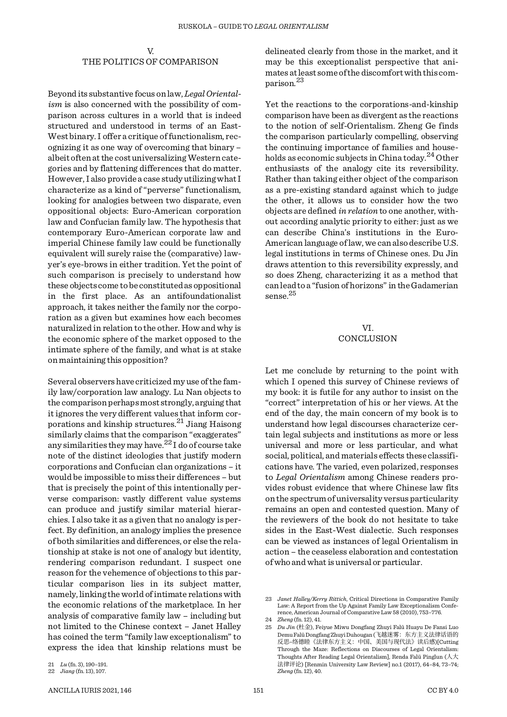V. THE POLITICS OF COMPARISON

Beyond its substantive focus on law, *Legal Orientalism* is also concerned with the possibility of comparison across cultures in a world that is indeed structured and understood in terms of an East- West binary. I offer a critique of functionalism, recognizing it as one way of overcoming that binary – albeit often at the cost universalizing Western categories and by flattening differences that do matter. However, I also provide a case study utilizing what I characterize as a kind of "perverse" functionalism, looking for analogies between two disparate, even oppositional objects: Euro-American corporation law and Confucian family law. The hypothesis that contemporary Euro-American corporate law and imperial Chinese family law could be functionally equivalent will surely raise the (comparative) lawyer's eye-brows in either tradition. Yet the point of such comparison is precisely to understand how these objects come to be constituted as oppositional in the first place. As an antifoundationalist approach, it takes neither the family nor the corporation as a given but examines how each becomes naturalized in relation to the other. How and why is the economic sphere of the market opposed to the intimate sphere of the family, and what is at stake on maintaining this opposition?

Several observers have criticized my use of the family law/corporation law analogy. Lu Nan objects to the comparison perhaps most strongly, arguing that it ignores the very different values that inform corporations and kinship structures.21 Jiang Haisong similarly claims that the comparison "exaggerates" any similarities they may have.<sup>22</sup> I do of course take note of the distinct ideologies that justify modern corporations and Confucian clan organizations – it would be impossible to miss their differences – but that is precisely the point of this intentionally perverse comparison: vastly different value systems can produce and justify similar material hierarchies. I also take it as a given that no analogy is perfect. By definition, an analogy implies the presence of both similarities and differences, or else the relationship at stake is not one of analogy but identity, rendering comparison redundant. I suspect one reason for the vehemence of objections to this particular comparison lies in its subject matter, namely, linking the world of intimate relations with the economic relations of the marketplace. In her analysis of comparative family law – including but not limited to the Chinese context – Janet Halley has coined the term "family law exceptionalism" to express the idea that kinship relations must be

delineated clearly from those in the market, and it may be this exceptionalist perspective that animates at least some of the discomfort with this comparison.<sup>23</sup>

Yet the reactions to the corporations-and-kinship comparison have been as divergent as the reactions to the notion of self-Orientalism. Zheng Ge finds the comparison particularly compelling, observing the continuing importance of families and households as economic subjects in China today.<sup>24</sup> Other enthusiasts of the analogy cite its reversibility. Rather than taking either object of the comparison as a pre-existing standard against which to judge the other, it allows us to consider how the two objects are defined *in relation* to one another, without according analytic priority to either: just as we can describe China's institutions in the Euro- American language of law, we can also describe U.S. legal institutions in terms of Chinese ones. Du Jin draws attention to this reversibility expressly, and so does Zheng, characterizing it as a method that can lead to a "fusion of horizons" in the Gadamerian sense.  $^{25}$ 

> VI. CONCLUSION

Let me conclude by returning to the point with which I opened this survey of Chinese reviews of my book: it is futile for any author to insist on the "correct" interpretation of his or her views. At the end of the day, the main concern of my book is to understand how legal discourses characterize certain legal subjects and institutions as more or less universal and more or less particular, and what social, political, and materials effects these classifications have. The varied, even polarized, responses to *Legal Orientalism* among Chinese readers provides robust evidence that where Chinese law fits on the spectrum of universality versus particularity remains an open and contested question. Many of the reviewers of the book do not hesitate to take sides in the East-West dialectic. Such responses can be viewed as instances of legal Orientalism in action – the ceaseless elaboration and contestation of who and what is universal or particular.

<sup>21</sup> *Lu* (fn. 3), 190–191.

<sup>22</sup> *Jiang* (fn. 13), 107.

<sup>23</sup> *Janet Halley/Kerry Rittich*, Critical Directions in Comparative Family Law: A Report from the Up Against Family Law Exceptionalism Conference, American Journal of Comparative Law 58 (2010), 753–776.

<sup>24</sup> *Zheng* (fn. 12), 41.

<sup>25</sup> *Du Jin* (杜金), Feiyue Miwu Dongfang Zhuyi Falü Huayu De Fansi Luo Demu Falü Dongfang Zhuyi Duhougan (飞越迷雾: 东方主义法律话语的<br>反思–络德睦《法律东方主义: 中国、美国与现代法》读后感)[Cutting Through the Maze: Reflections on Discourses of Legal Orientalism: Thoughts After Reading Legal Orientalism], Renda Falü Pinglun (人大 法律评论) [Renmin University Law Review] no.1 (2017), 64–84, 73–74; *Zheng* (fn. 12), 40.